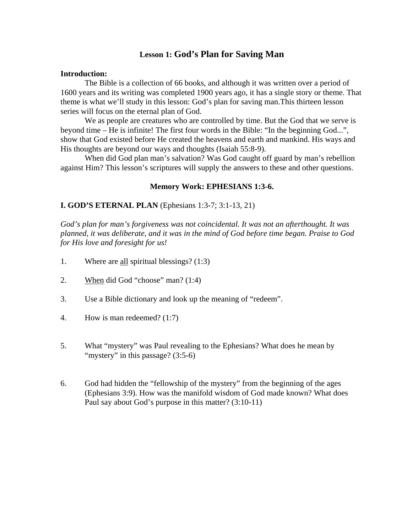# **Lesson 1: God's Plan for Saving Man**

#### **Introduction:**

 The Bible is a collection of 66 books, and although it was written over a period of 1600 years and its writing was completed 1900 years ago, it has a single story or theme. That theme is what we'll study in this lesson: God's plan for saving man.This thirteen lesson series will focus on the eternal plan of God.

 We as people are creatures who are controlled by time. But the God that we serve is beyond time – He is infinite! The first four words in the Bible: "In the beginning God...", show that God existed before He created the heavens and earth and mankind. His ways and His thoughts are beyond our ways and thoughts (Isaiah 55:8-9).

 When did God plan man's salvation? Was God caught off guard by man's rebellion against Him? This lesson's scriptures will supply the answers to these and other questions.

#### **Memory Work: EPHESIANS 1:3-6.**

#### **I. GOD'S ETERNAL PLAN** (Ephesians 1:3-7; 3:1-13, 21)

*God's plan for man's forgiveness was not coincidental. It was not an afterthought. It was planned, it was deliberate, and it was in the mind of God before time began. Praise to God for His love and foresight for us!* 

- 1. Where are all spiritual blessings? (1:3)
- 2. When did God "choose" man? (1:4)
- 3. Use a Bible dictionary and look up the meaning of "redeem".
- 4. How is man redeemed? (1:7)
- 5. What "mystery" was Paul revealing to the Ephesians? What does he mean by "mystery" in this passage? (3:5-6)
- 6. God had hidden the "fellowship of the mystery" from the beginning of the ages (Ephesians 3:9). How was the manifold wisdom of God made known? What does Paul say about God's purpose in this matter? (3:10-11)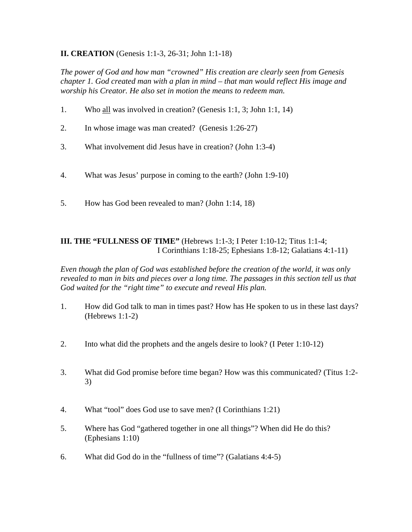# **II. CREATION** (Genesis 1:1-3, 26-31; John 1:1-18)

*The power of God and how man "crowned" His creation are clearly seen from Genesis chapter 1. God created man with a plan in mind – that man would reflect His image and worship his Creator. He also set in motion the means to redeem man.* 

- 1. Who all was involved in creation? (Genesis 1:1, 3; John 1:1, 14)
- 2. In whose image was man created? (Genesis 1:26-27)
- 3. What involvement did Jesus have in creation? (John 1:3-4)
- 4. What was Jesus' purpose in coming to the earth? (John 1:9-10)
- 5. How has God been revealed to man? (John 1:14, 18)

## **III. THE "FULLNESS OF TIME"** (Hebrews 1:1-3; I Peter 1:10-12; Titus 1:1-4; I Corinthians 1:18-25; Ephesians 1:8-12; Galatians 4:1-11)

*Even though the plan of God was established before the creation of the world, it was only revealed to man in bits and pieces over a long time. The passages in this section tell us that God waited for the "right time" to execute and reveal His plan.*

- 1. How did God talk to man in times past? How has He spoken to us in these last days? (Hebrews 1:1-2)
- 2. Into what did the prophets and the angels desire to look? (I Peter 1:10-12)
- 3. What did God promise before time began? How was this communicated? (Titus 1:2- 3)
- 4. What "tool" does God use to save men? (I Corinthians 1:21)
- 5. Where has God "gathered together in one all things"? When did He do this? (Ephesians 1:10)
- 6. What did God do in the "fullness of time"? (Galatians 4:4-5)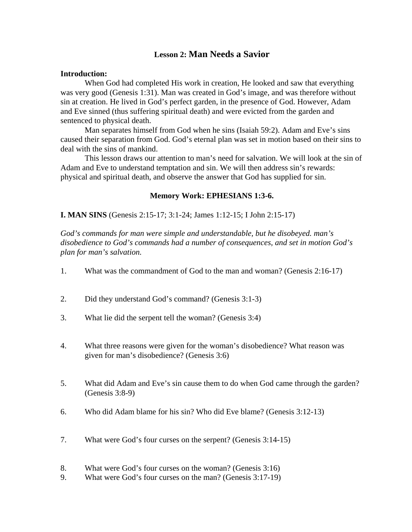# **Lesson 2: Man Needs a Savior**

#### **Introduction:**

 When God had completed His work in creation, He looked and saw that everything was very good (Genesis 1:31). Man was created in God's image, and was therefore without sin at creation. He lived in God's perfect garden, in the presence of God. However, Adam and Eve sinned (thus suffering spiritual death) and were evicted from the garden and sentenced to physical death.

 Man separates himself from God when he sins (Isaiah 59:2). Adam and Eve's sins caused their separation from God. God's eternal plan was set in motion based on their sins to deal with the sins of mankind.

 This lesson draws our attention to man's need for salvation. We will look at the sin of Adam and Eve to understand temptation and sin. We will then address sin's rewards: physical and spiritual death, and observe the answer that God has supplied for sin.

#### **Memory Work: EPHESIANS 1:3-6.**

**I. MAN SINS** (Genesis 2:15-17; 3:1-24; James 1:12-15; I John 2:15-17)

*God's commands for man were simple and understandable, but he disobeyed. man's disobedience to God's commands had a number of consequences, and set in motion God's plan for man's salvation.*

- 1. What was the commandment of God to the man and woman? (Genesis 2:16-17)
- 2. Did they understand God's command? (Genesis 3:1-3)
- 3. What lie did the serpent tell the woman? (Genesis 3:4)
- 4. What three reasons were given for the woman's disobedience? What reason was given for man's disobedience? (Genesis 3:6)
- 5. What did Adam and Eve's sin cause them to do when God came through the garden? (Genesis 3:8-9)
- 6. Who did Adam blame for his sin? Who did Eve blame? (Genesis 3:12-13)
- 7. What were God's four curses on the serpent? (Genesis 3:14-15)
- 8. What were God's four curses on the woman? (Genesis 3:16)
- 9. What were God's four curses on the man? (Genesis 3:17-19)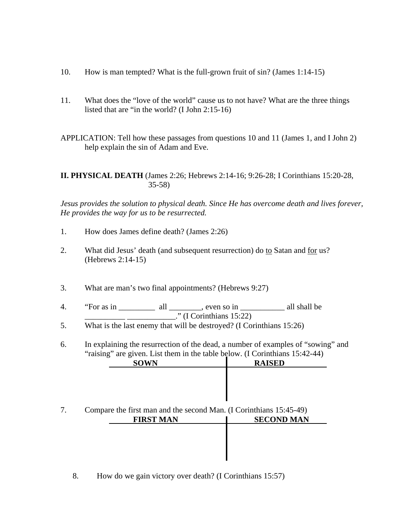- 10. How is man tempted? What is the full-grown fruit of sin? (James 1:14-15)
- 11. What does the "love of the world" cause us to not have? What are the three things listed that are "in the world? (I John 2:15-16)

APPLICATION: Tell how these passages from questions 10 and 11 (James 1, and I John 2) help explain the sin of Adam and Eve.

**II. PHYSICAL DEATH** (James 2:26; Hebrews 2:14-16; 9:26-28; I Corinthians 15:20-28, 35-58)

*Jesus provides the solution to physical death. Since He has overcome death and lives forever, He provides the way for us to be resurrected.*

- 1. How does James define death? (James 2:26)
- 2. What did Jesus' death (and subsequent resurrection) do to Satan and for us? (Hebrews 2:14-15)
- 3. What are man's two final appointments? (Hebrews 9:27)
- 4. "For as in \_\_\_\_\_\_\_\_\_\_\_ all \_\_\_\_\_\_\_, even so in \_\_\_\_\_\_\_\_\_\_\_\_ all shall be  $\overline{\phantom{a}}$  (I Corinthians 15:22)
- 5. What is the last enemy that will be destroyed? (I Corinthians 15:26)

6. In explaining the resurrection of the dead, a number of examples of "sowing" and "raising" are given. List them in the table below. (I Corinthians 15:42-44)

| <b>RAISED</b>                                                      |
|--------------------------------------------------------------------|
|                                                                    |
|                                                                    |
|                                                                    |
|                                                                    |
| Compare the first man and the second Man. (I Corinthians 15:45-49) |
| <b>SECOND MAN</b>                                                  |
|                                                                    |
|                                                                    |
|                                                                    |
|                                                                    |

I

8. How do we gain victory over death? (I Corinthians 15:57)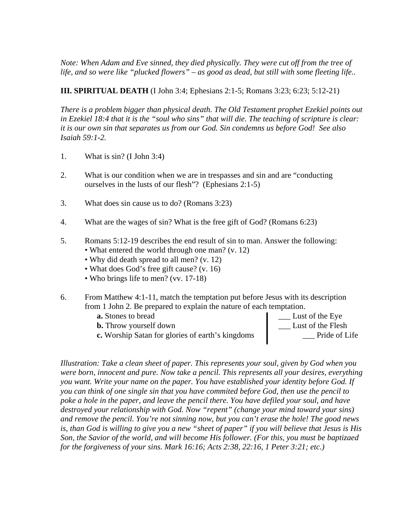*Note: When Adam and Eve sinned, they died physically. They were cut off from the tree of life, and so were like "plucked flowers" – as good as dead, but still with some fleeting life..*

# **III. SPIRITUAL DEATH** (I John 3:4; Ephesians 2:1-5; Romans 3:23; 6:23; 5:12-21)

*There is a problem bigger than physical death. The Old Testament prophet Ezekiel points out in Ezekiel 18:4 that it is the "soul who sins" that will die. The teaching of scripture is clear: it is our own sin that separates us from our God. Sin condemns us before God! See also Isaiah 59:1-2.* 

- 1. What is sin? (I John 3:4)
- 2. What is our condition when we are in trespasses and sin and are "conducting ourselves in the lusts of our flesh"? (Ephesians 2:1-5)
- 3. What does sin cause us to do? (Romans 3:23)
- 4. What are the wages of sin? What is the free gift of God? (Romans 6:23)
- 5. Romans 5:12-19 describes the end result of sin to man. Answer the following:
	- What entered the world through one man? (v. 12)
	- Why did death spread to all men? (v. 12)
	- What does God's free gift cause? (v. 16)
	- Who brings life to men? (vv. 17-18)
- 6. From Matthew 4:1-11, match the temptation put before Jesus with its description from 1 John 2. Be prepared to explain the nature of each temptation.
	- -
	- **c.** Worship Satan for glories of earth's kingdoms

**a.** Stones to bread **a.** Lust of the Eye **b.** Throw yourself down<br> **c.** Worship Satan for glories of earth's kingdoms
<br> **b.** Lust of the Flesh

Lust of the Flesh

Lust of the Flesh

Lust of the Flesh

Lust of the Flesh

Lust of the Flesh

Lust of the Flesh

Lust

*Illustration: Take a clean sheet of paper. This represents your soul, given by God when you were born, innocent and pure. Now take a pencil. This represents all your desires, everything you want. Write your name on the paper. You have established your identity before God. If you can think of one single sin that you have commited before God, then use the pencil to*  poke a hole in the paper, and leave the pencil there. You have defiled your soul, and have *destroyed your relationship with God. Now "repent" (change your mind toward your sins) and remove the pencil. You're not sinning now, but you can't erase the hole! The good news is, than God is willing to give you a new "sheet of paper" if you will believe that Jesus is His Son, the Savior of the world, and will become His follower. (For this, you must be baptizaed for the forgiveness of your sins. Mark 16:16; Acts 2:38, 22:16, 1 Peter 3:21; etc.)*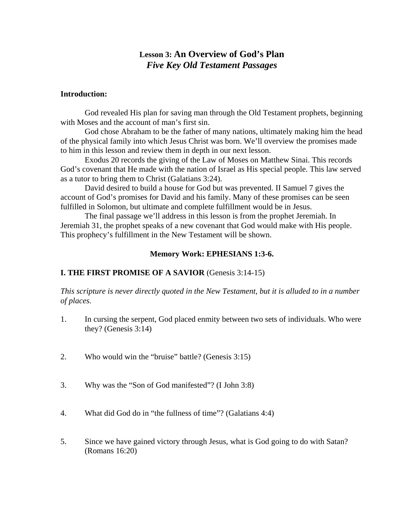# **Lesson 3: An Overview of God's Plan**  *Five Key Old Testament Passages*

#### **Introduction:**

 God revealed His plan for saving man through the Old Testament prophets, beginning with Moses and the account of man's first sin.

 God chose Abraham to be the father of many nations, ultimately making him the head of the physical family into which Jesus Christ was born. We'll overview the promises made to him in this lesson and review them in depth in our next lesson.

 Exodus 20 records the giving of the Law of Moses on Matthew Sinai. This records God's covenant that He made with the nation of Israel as His special people. This law served as a tutor to bring them to Christ (Galatians 3:24).

 David desired to build a house for God but was prevented. II Samuel 7 gives the account of God's promises for David and his family. Many of these promises can be seen fulfilled in Solomon, but ultimate and complete fulfillment would be in Jesus.

 The final passage we'll address in this lesson is from the prophet Jeremiah. In Jeremiah 31, the prophet speaks of a new covenant that God would make with His people. This prophecy's fulfillment in the New Testament will be shown.

#### **Memory Work: EPHESIANS 1:3-6.**

#### **I. THE FIRST PROMISE OF A SAVIOR** (Genesis 3:14-15)

*This scripture is never directly quoted in the New Testament, but it is alluded to in a number of places.*

- 1. In cursing the serpent, God placed enmity between two sets of individuals. Who were they? (Genesis 3:14)
- 2. Who would win the "bruise" battle? (Genesis 3:15)
- 3. Why was the "Son of God manifested"? (I John 3:8)
- 4. What did God do in "the fullness of time"? (Galatians 4:4)
- 5. Since we have gained victory through Jesus, what is God going to do with Satan? (Romans 16:20)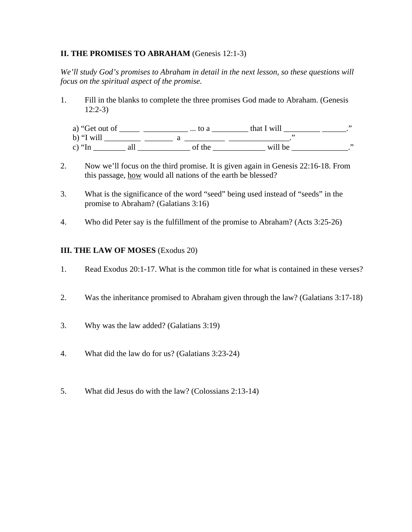# **II. THE PROMISES TO ABRAHAM** (Genesis 12:1-3)

*We'll study God's promises to Abraham in detail in the next lesson, so these questions will focus on the spiritual aspect of the promise.*

- 1. Fill in the blanks to complete the three promises God made to Abraham. (Genesis 12:2-3)
	- a) "Get out of \_\_\_\_\_ \_\_\_\_\_\_\_\_\_\_\_\_\_\_\_\_ ... to a \_\_\_\_\_\_\_\_\_\_\_\_ that I will \_\_\_\_\_\_\_\_\_\_\_\_\_\_\_\_\_\_." b) "I will \_\_\_\_\_\_\_\_\_ \_\_\_\_\_\_\_ a \_\_\_\_\_\_\_\_\_\_ \_\_\_\_\_\_\_\_\_\_\_\_\_\_\_." c) "In \_\_\_\_\_\_\_\_ all \_\_\_\_\_\_\_\_\_\_\_\_\_ of the \_\_\_\_\_\_\_\_\_\_\_\_\_ will be \_\_\_\_\_\_\_\_\_\_\_\_\_\_."
- 2. Now we'll focus on the third promise. It is given again in Genesis 22:16-18. From this passage, how would all nations of the earth be blessed?
- 3. What is the significance of the word "seed" being used instead of "seeds" in the promise to Abraham? (Galatians 3:16)
- 4. Who did Peter say is the fulfillment of the promise to Abraham? (Acts 3:25-26)

## **III. THE LAW OF MOSES** (Exodus 20)

- 1. Read Exodus 20:1-17. What is the common title for what is contained in these verses?
- 2. Was the inheritance promised to Abraham given through the law? (Galatians 3:17-18)
- 3. Why was the law added? (Galatians 3:19)
- 4. What did the law do for us? (Galatians 3:23-24)
- 5. What did Jesus do with the law? (Colossians 2:13-14)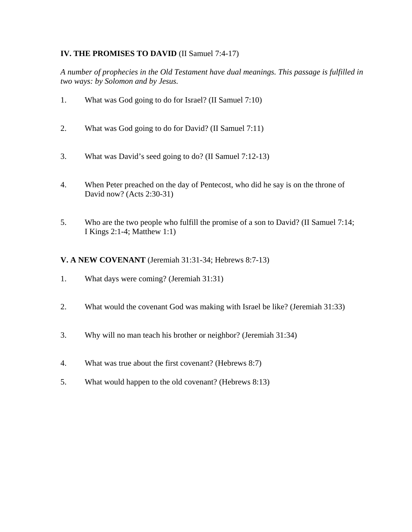# **IV. THE PROMISES TO DAVID** (II Samuel 7:4-17)

*A number of prophecies in the Old Testament have dual meanings. This passage is fulfilled in two ways: by Solomon and by Jesus.* 

- 1. What was God going to do for Israel? (II Samuel 7:10)
- 2. What was God going to do for David? (II Samuel 7:11)
- 3. What was David's seed going to do? (II Samuel 7:12-13)
- 4. When Peter preached on the day of Pentecost, who did he say is on the throne of David now? (Acts 2:30-31)
- 5. Who are the two people who fulfill the promise of a son to David? (II Samuel 7:14; I Kings 2:1-4; Matthew 1:1)

## **V. A NEW COVENANT** (Jeremiah 31:31-34; Hebrews 8:7-13)

- 1. What days were coming? (Jeremiah 31:31)
- 2. What would the covenant God was making with Israel be like? (Jeremiah 31:33)
- 3. Why will no man teach his brother or neighbor? (Jeremiah 31:34)
- 4. What was true about the first covenant? (Hebrews 8:7)
- 5. What would happen to the old covenant? (Hebrews 8:13)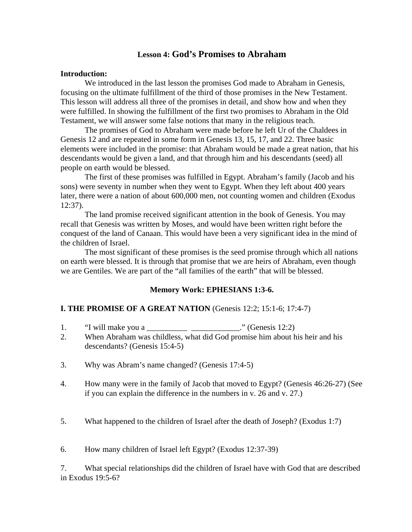# **Lesson 4: God's Promises to Abraham**

#### **Introduction:**

 We introduced in the last lesson the promises God made to Abraham in Genesis, focusing on the ultimate fulfillment of the third of those promises in the New Testament. This lesson will address all three of the promises in detail, and show how and when they were fulfilled. In showing the fulfillment of the first two promises to Abraham in the Old Testament, we will answer some false notions that many in the religious teach.

 The promises of God to Abraham were made before he left Ur of the Chaldees in Genesis 12 and are repeated in some form in Genesis 13, 15, 17, and 22. Three basic elements were included in the promise: that Abraham would be made a great nation, that his descendants would be given a land, and that through him and his descendants (seed) all people on earth would be blessed.

 The first of these promises was fulfilled in Egypt. Abraham's family (Jacob and his sons) were seventy in number when they went to Egypt. When they left about 400 years later, there were a nation of about 600,000 men, not counting women and children (Exodus 12:37).

 The land promise received significant attention in the book of Genesis. You may recall that Genesis was written by Moses, and would have been written right before the conquest of the land of Canaan. This would have been a very significant idea in the mind of the children of Israel.

 The most significant of these promises is the seed promise through which all nations on earth were blessed. It is through that promise that we are heirs of Abraham, even though we are Gentiles. We are part of the "all families of the earth" that will be blessed.

#### **Memory Work: EPHESIANS 1:3-6.**

#### **I. THE PROMISE OF A GREAT NATION** (Genesis 12:2; 15:1-6; 17:4-7)

- 1. "I will make you a \_\_\_\_\_\_\_\_\_\_\_\_\_\_\_\_\_\_\_\_\_\_\_\_\_\_." (Genesis 12:2)
- 2. When Abraham was childless, what did God promise him about his heir and his descendants? (Genesis 15:4-5)
- 3. Why was Abram's name changed? (Genesis 17:4-5)
- 4. How many were in the family of Jacob that moved to Egypt? (Genesis 46:26-27) (See if you can explain the difference in the numbers in v. 26 and v. 27.)
- 5. What happened to the children of Israel after the death of Joseph? (Exodus 1:7)

6. How many children of Israel left Egypt? (Exodus 12:37-39)

7. What special relationships did the children of Israel have with God that are described in Exodus 19:5-6?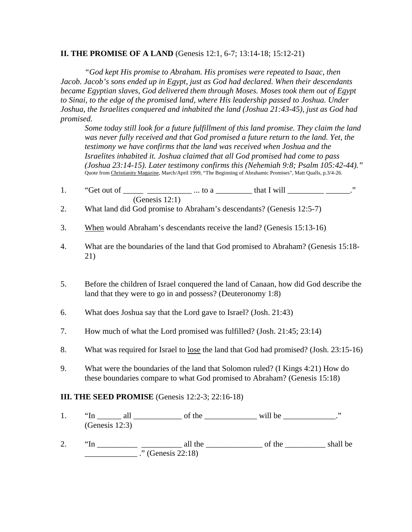## **II. THE PROMISE OF A LAND** (Genesis 12:1, 6-7; 13:14-18; 15:12-21)

 *"God kept His promise to Abraham. His promises were repeated to Isaac, then Jacob. Jacob's sons ended up in Egypt, just as God had declared. When their descendants became Egyptian slaves, God delivered them through Moses. Moses took them out of Egypt to Sinai, to the edge of the promised land, where His leadership passed to Joshua. Under Joshua, the Israelites conquered and inhabited the land (Joshua 21:43-45), just as God had promised.* 

 *Some today still look for a future fulfillment of this land promise. They claim the land was never fully received and that God promised a future return to the land. Yet, the testimony we have confirms that the land was received when Joshua and the Israelites inhabited it. Joshua claimed that all God promised had come to pass (Joshua 23:14-15). Later testimony confirms this (Nehemiah 9:8; Psalm 105:42-44)."*  Quote from Christianity Magazine, March/April 1999, "The Beginning of Abrahamic Promises", Matt Qualls, p.3/4-26.

- 1. "Get out of  $\frac{1}{\sqrt{2\pi}}$   $\frac{1}{\sqrt{2\pi}}$  ... to a  $\frac{1}{\sqrt{2\pi}}$  that I will  $\frac{1}{\sqrt{2\pi}}$ (Genesis 12:1)
- 2. What land did God promise to Abraham's descendants? (Genesis 12:5-7)
- 3. When would Abraham's descendants receive the land? (Genesis 15:13-16)
- 4. What are the boundaries of the land that God promised to Abraham? (Genesis 15:18- 21)
- 5. Before the children of Israel conquered the land of Canaan, how did God describe the land that they were to go in and possess? (Deuteronomy 1:8)
- 6. What does Joshua say that the Lord gave to Israel? (Josh. 21:43)
- 7. How much of what the Lord promised was fulfilled? (Josh. 21:45; 23:14)
- 8. What was required for Israel to <u>lose</u> the land that God had promised? (Josh. 23:15-16)
- 9. What were the boundaries of the land that Solomon ruled? (I Kings 4:21) How do these boundaries compare to what God promised to Abraham? (Genesis 15:18)

# **III. THE SEED PROMISE** (Genesis 12:2-3; 22:16-18)

- 1.  $\text{``In} \quad \text{all}$  of the will be will be will be  $\text{``In}$ (Genesis 12:3)
- 2.  $\text{``In} \_\_\_\_\_\_\_\_\$ all the  $\_\_\_\_\_\_\_\_\$  of the  $\_\_\_\_\_\_\$ shall be  $\frac{1}{2}$  ." (Genesis 22:18)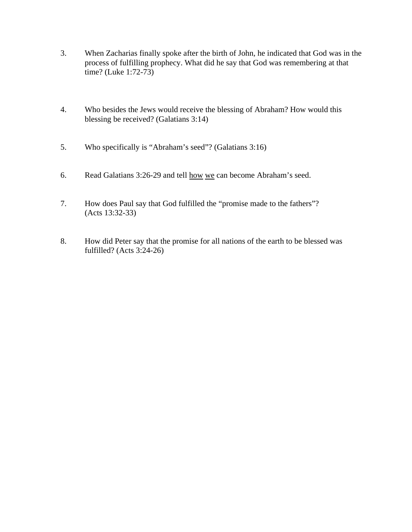- 3. When Zacharias finally spoke after the birth of John, he indicated that God was in the process of fulfilling prophecy. What did he say that God was remembering at that time? (Luke 1:72-73)
- 4. Who besides the Jews would receive the blessing of Abraham? How would this blessing be received? (Galatians 3:14)
- 5. Who specifically is "Abraham's seed"? (Galatians 3:16)
- 6. Read Galatians 3:26-29 and tell how we can become Abraham's seed.
- 7. How does Paul say that God fulfilled the "promise made to the fathers"? (Acts 13:32-33)
- 8. How did Peter say that the promise for all nations of the earth to be blessed was fulfilled? (Acts 3:24-26)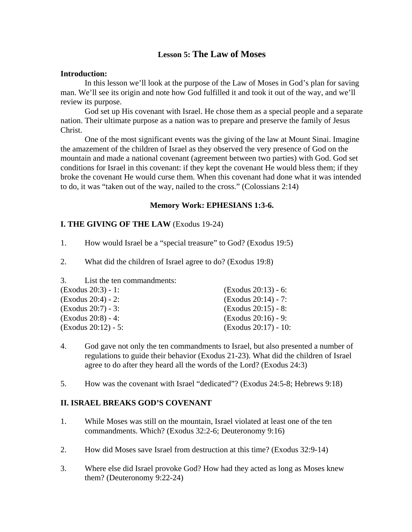# **Lesson 5: The Law of Moses**

#### **Introduction:**

 In this lesson we'll look at the purpose of the Law of Moses in God's plan for saving man. We'll see its origin and note how God fulfilled it and took it out of the way, and we'll review its purpose.

 God set up His covenant with Israel. He chose them as a special people and a separate nation. Their ultimate purpose as a nation was to prepare and preserve the family of Jesus Christ.

 One of the most significant events was the giving of the law at Mount Sinai. Imagine the amazement of the children of Israel as they observed the very presence of God on the mountain and made a national covenant (agreement between two parties) with God. God set conditions for Israel in this covenant: if they kept the covenant He would bless them; if they broke the covenant He would curse them. When this covenant had done what it was intended to do, it was "taken out of the way, nailed to the cross." (Colossians 2:14)

## **Memory Work: EPHESIANS 1:3-6.**

## **I. THE GIVING OF THE LAW** (Exodus 19-24)

- 1. How would Israel be a "special treasure" to God? (Exodus 19:5)
- 2. What did the children of Israel agree to do? (Exodus 19:8)
- 3. List the ten commandments:

| $\left($ Exodus 20:3) - 1:  | $(Exodus 20:13) - 6:$         |
|-----------------------------|-------------------------------|
| $\left($ Exodus 20:4) - 2:  | $(Exodus 20:14) - 7:$         |
| $\left($ Exodus 20:7) - 3:  | $\text{(Exodus } 20:15) - 8:$ |
| (Exodus 20:8) - 4:          | $\text{(Exodus 20:16)} - 9:$  |
| $\left($ Exodus 20:12) - 5: | $\left($ Exodus 20:17) - 10:  |

- 4. God gave not only the ten commandments to Israel, but also presented a number of regulations to guide their behavior (Exodus 21-23). What did the children of Israel agree to do after they heard all the words of the Lord? (Exodus 24:3)
- 5. How was the covenant with Israel "dedicated"? (Exodus 24:5-8; Hebrews 9:18)

#### **II. ISRAEL BREAKS GOD'S COVENANT**

- 1. While Moses was still on the mountain, Israel violated at least one of the ten commandments. Which? (Exodus 32:2-6; Deuteronomy 9:16)
- 2. How did Moses save Israel from destruction at this time? (Exodus 32:9-14)
- 3. Where else did Israel provoke God? How had they acted as long as Moses knew them? (Deuteronomy 9:22-24)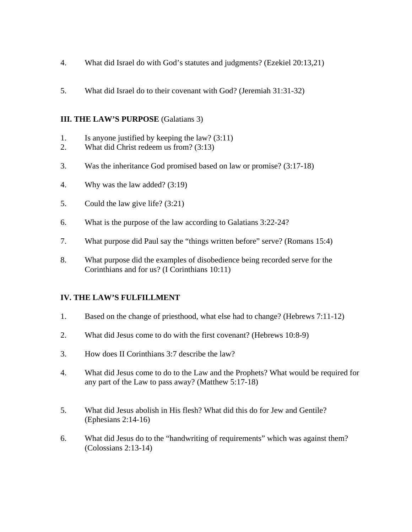- 4. What did Israel do with God's statutes and judgments? (Ezekiel 20:13,21)
- 5. What did Israel do to their covenant with God? (Jeremiah 31:31-32)

# **III. THE LAW'S PURPOSE** (Galatians 3)

- 1. Is anyone justified by keeping the law? (3:11)
- 2. What did Christ redeem us from? (3:13)
- 3. Was the inheritance God promised based on law or promise? (3:17-18)
- 4. Why was the law added? (3:19)
- 5. Could the law give life? (3:21)
- 6. What is the purpose of the law according to Galatians 3:22-24?
- 7. What purpose did Paul say the "things written before" serve? (Romans 15:4)
- 8. What purpose did the examples of disobedience being recorded serve for the Corinthians and for us? (I Corinthians 10:11)

# **IV. THE LAW'S FULFILLMENT**

- 1. Based on the change of priesthood, what else had to change? (Hebrews 7:11-12)
- 2. What did Jesus come to do with the first covenant? (Hebrews 10:8-9)
- 3. How does II Corinthians 3:7 describe the law?
- 4. What did Jesus come to do to the Law and the Prophets? What would be required for any part of the Law to pass away? (Matthew 5:17-18)
- 5. What did Jesus abolish in His flesh? What did this do for Jew and Gentile? (Ephesians 2:14-16)
- 6. What did Jesus do to the "handwriting of requirements" which was against them? (Colossians 2:13-14)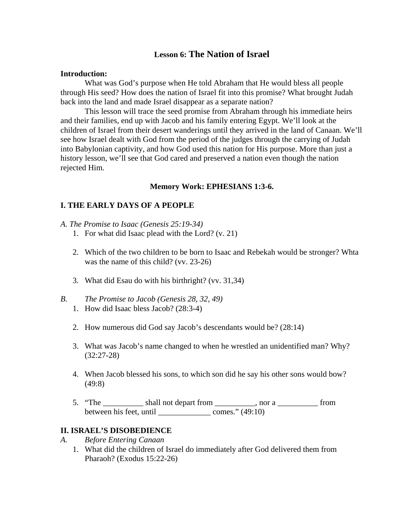# **Lesson 6: The Nation of Israel**

#### **Introduction:**

 What was God's purpose when He told Abraham that He would bless all people through His seed? How does the nation of Israel fit into this promise? What brought Judah back into the land and made Israel disappear as a separate nation?

 This lesson will trace the seed promise from Abraham through his immediate heirs and their families, end up with Jacob and his family entering Egypt. We'll look at the children of Israel from their desert wanderings until they arrived in the land of Canaan. We'll see how Israel dealt with God from the period of the judges through the carrying of Judah into Babylonian captivity, and how God used this nation for His purpose. More than just a history lesson, we'll see that God cared and preserved a nation even though the nation rejected Him.

#### **Memory Work: EPHESIANS 1:3-6.**

## **I. THE EARLY DAYS OF A PEOPLE**

#### *A. The Promise to Isaac (Genesis 25:19-34)*

- 1. For what did Isaac plead with the Lord? (v. 21)
- 2. Which of the two children to be born to Isaac and Rebekah would be stronger? Whta was the name of this child? (vv. 23-26)
- 3. What did Esau do with his birthright? (vv. 31,34)
- *B. The Promise to Jacob (Genesis 28, 32, 49)*
	- 1. How did Isaac bless Jacob? (28:3-4)
	- 2. How numerous did God say Jacob's descendants would be? (28:14)
	- 3. What was Jacob's name changed to when he wrestled an unidentified man? Why? (32:27-28)
	- 4. When Jacob blessed his sons, to which son did he say his other sons would bow? (49:8)
	- 5. "The shall not depart from set of a set of the state of the shall not depart from set of  $\frac{1}{2}$  from between his feet, until \_\_\_\_\_\_\_\_\_\_\_\_\_\_\_\_\_\_\_ comes." (49:10)

#### **II. ISRAEL'S DISOBEDIENCE**

- *A. Before Entering Canaan*
	- 1. What did the children of Israel do immediately after God delivered them from Pharaoh? (Exodus 15:22-26)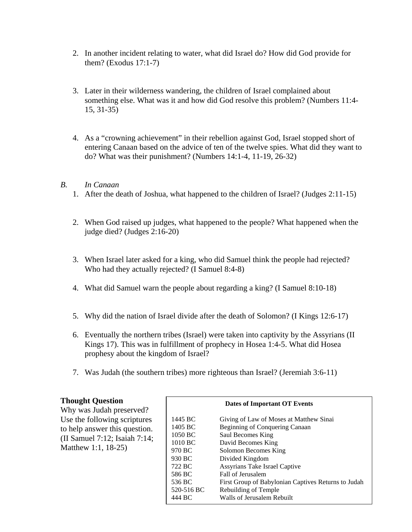- 2. In another incident relating to water, what did Israel do? How did God provide for them? (Exodus 17:1-7)
- 3. Later in their wilderness wandering, the children of Israel complained about something else. What was it and how did God resolve this problem? (Numbers 11:4- 15, 31-35)
- 4. As a "crowning achievement" in their rebellion against God, Israel stopped short of entering Canaan based on the advice of ten of the twelve spies. What did they want to do? What was their punishment? (Numbers 14:1-4, 11-19, 26-32)

# *B. In Canaan*

- 1. After the death of Joshua, what happened to the children of Israel? (Judges 2:11-15)
- 2. When God raised up judges, what happened to the people? What happened when the judge died? (Judges 2:16-20)
- 3. When Israel later asked for a king, who did Samuel think the people had rejected? Who had they actually rejected? (I Samuel 8:4-8)
- 4. What did Samuel warn the people about regarding a king? (I Samuel 8:10-18)
- 5. Why did the nation of Israel divide after the death of Solomon? (I Kings 12:6-17)
- 6. Eventually the northern tribes (Israel) were taken into captivity by the Assyrians (II Kings 17). This was in fulfillment of prophecy in Hosea 1:4-5. What did Hosea prophesy about the kingdom of Israel?
- 7. Was Judah (the southern tribes) more righteous than Israel? (Jeremiah 3:6-11)

# **Thought Question**

Why was Judah preserved? Use the following scriptures to help answer this question. (II Samuel 7:12; Isaiah 7:14; Matthew 1:1, 18-25)

| Dates of Important OT Events |                                                     |  |
|------------------------------|-----------------------------------------------------|--|
| 1445 BC                      | Giving of Law of Moses at Matthew Sinai             |  |
| 1405 BC                      | Beginning of Conquering Canaan                      |  |
| 1050 BC                      | Saul Becomes King                                   |  |
| $1010$ BC                    | David Becomes King                                  |  |
| 970 BC                       | Solomon Becomes King                                |  |
| 930 BC                       | Divided Kingdom                                     |  |
| 722 BC                       | Assyrians Take Israel Captive                       |  |
| 586 BC                       | Fall of Jerusalem                                   |  |
| 536 BC                       | First Group of Babylonian Captives Returns to Judah |  |
| 520-516 BC                   | Rebuilding of Temple                                |  |
| 444 BC                       | Walls of Jerusalem Rebuilt                          |  |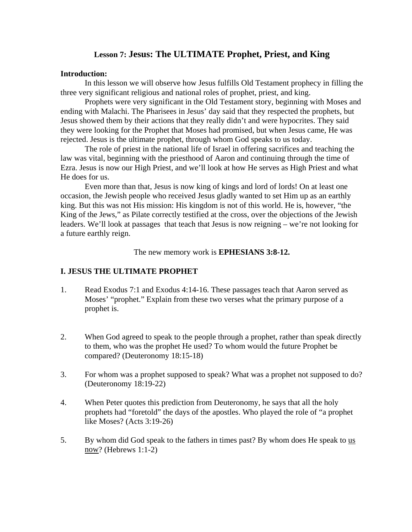# **Lesson 7: Jesus: The ULTIMATE Prophet, Priest, and King**

#### **Introduction:**

 In this lesson we will observe how Jesus fulfills Old Testament prophecy in filling the three very significant religious and national roles of prophet, priest, and king.

 Prophets were very significant in the Old Testament story, beginning with Moses and ending with Malachi. The Pharisees in Jesus' day said that they respected the prophets, but Jesus showed them by their actions that they really didn't and were hypocrites. They said they were looking for the Prophet that Moses had promised, but when Jesus came, He was rejected. Jesus is the ultimate prophet, through whom God speaks to us today.

 The role of priest in the national life of Israel in offering sacrifices and teaching the law was vital, beginning with the priesthood of Aaron and continuing through the time of Ezra. Jesus is now our High Priest, and we'll look at how He serves as High Priest and what He does for us.

 Even more than that, Jesus is now king of kings and lord of lords! On at least one occasion, the Jewish people who received Jesus gladly wanted to set Him up as an earthly king. But this was not His mission: His kingdom is not of this world. He is, however, "the King of the Jews," as Pilate correctly testified at the cross, over the objections of the Jewish leaders. We'll look at passages that teach that Jesus is now reigning – we're not looking for a future earthly reign.

The new memory work is **EPHESIANS 3:8-12.**

# **I. JESUS THE ULTIMATE PROPHET**

- 1. Read Exodus 7:1 and Exodus 4:14-16. These passages teach that Aaron served as Moses' "prophet." Explain from these two verses what the primary purpose of a prophet is.
- 2. When God agreed to speak to the people through a prophet, rather than speak directly to them, who was the prophet He used? To whom would the future Prophet be compared? (Deuteronomy 18:15-18)
- 3. For whom was a prophet supposed to speak? What was a prophet not supposed to do? (Deuteronomy 18:19-22)
- 4. When Peter quotes this prediction from Deuteronomy, he says that all the holy prophets had "foretold" the days of the apostles. Who played the role of "a prophet like Moses? (Acts 3:19-26)
- 5. By whom did God speak to the fathers in times past? By whom does He speak to us now? (Hebrews 1:1-2)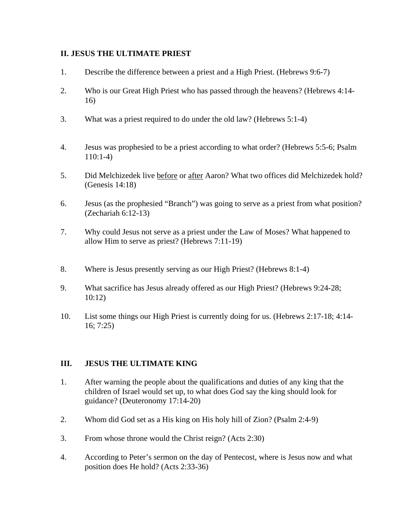## **II. JESUS THE ULTIMATE PRIEST**

- 1. Describe the difference between a priest and a High Priest. (Hebrews 9:6-7)
- 2. Who is our Great High Priest who has passed through the heavens? (Hebrews 4:14- 16)
- 3. What was a priest required to do under the old law? (Hebrews 5:1-4)
- 4. Jesus was prophesied to be a priest according to what order? (Hebrews 5:5-6; Psalm 110:1-4)
- 5. Did Melchizedek live before or after Aaron? What two offices did Melchizedek hold? (Genesis 14:18)
- 6. Jesus (as the prophesied "Branch") was going to serve as a priest from what position? (Zechariah 6:12-13)
- 7. Why could Jesus not serve as a priest under the Law of Moses? What happened to allow Him to serve as priest? (Hebrews 7:11-19)
- 8. Where is Jesus presently serving as our High Priest? (Hebrews 8:1-4)
- 9. What sacrifice has Jesus already offered as our High Priest? (Hebrews 9:24-28; 10:12)
- 10. List some things our High Priest is currently doing for us. (Hebrews 2:17-18; 4:14- 16; 7:25)

#### **III. JESUS THE ULTIMATE KING**

- 1. After warning the people about the qualifications and duties of any king that the children of Israel would set up, to what does God say the king should look for guidance? (Deuteronomy 17:14-20)
- 2. Whom did God set as a His king on His holy hill of Zion? (Psalm 2:4-9)
- 3. From whose throne would the Christ reign? (Acts 2:30)
- 4. According to Peter's sermon on the day of Pentecost, where is Jesus now and what position does He hold? (Acts 2:33-36)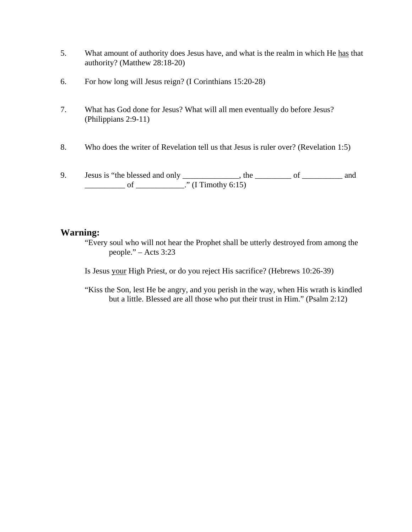- 5. What amount of authority does Jesus have, and what is the realm in which He has that authority? (Matthew 28:18-20)
- 6. For how long will Jesus reign? (I Corinthians 15:20-28)
- 7. What has God done for Jesus? What will all men eventually do before Jesus? (Philippians 2:9-11)
- 8. Who does the writer of Revelation tell us that Jesus is ruler over? (Revelation 1:5)
- 9. Jesus is "the blessed and only \_\_\_\_\_\_\_\_\_\_\_\_, the \_\_\_\_\_\_\_\_\_ of \_\_\_\_\_\_\_\_\_\_ and  $\frac{1}{\sqrt{1 - \frac{1}{\sqrt{1 - \frac{1}{\sqrt{1 - \frac{1}{\sqrt{1 - \frac{1}{\sqrt{1 - \frac{1}{\sqrt{1 - \frac{1}{\sqrt{1 - \frac{1}{\sqrt{1 - \frac{1}{\sqrt{1 - \frac{1}{\sqrt{1 - \frac{1}{\sqrt{1 - \frac{1}{\sqrt{1 - \frac{1}{\sqrt{1 - \frac{1}{\sqrt{1 - \frac{1}{\sqrt{1 - \frac{1}{\sqrt{1 - \frac{1}{\sqrt{1 - \frac{1}{\sqrt{1 - \frac{1}{\sqrt{1 - \frac{1}{\sqrt{1 - \frac{1}{\sqrt{1 - \frac{1}{\sqrt{1 -$

# **Warning:**

"Every soul who will not hear the Prophet shall be utterly destroyed from among the people." – Acts 3:23

Is Jesus your High Priest, or do you reject His sacrifice? (Hebrews 10:26-39)

"Kiss the Son, lest He be angry, and you perish in the way, when His wrath is kindled but a little. Blessed are all those who put their trust in Him." (Psalm 2:12)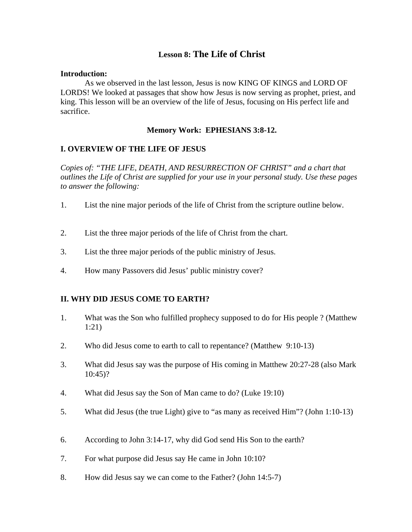# **Lesson 8: The Life of Christ**

#### **Introduction:**

 As we observed in the last lesson, Jesus is now KING OF KINGS and LORD OF LORDS! We looked at passages that show how Jesus is now serving as prophet, priest, and king. This lesson will be an overview of the life of Jesus, focusing on His perfect life and sacrifice.

## **Memory Work: EPHESIANS 3:8-12.**

## **I. OVERVIEW OF THE LIFE OF JESUS**

*Copies of: "THE LIFE, DEATH, AND RESURRECTION OF CHRIST" and a chart that outlines the Life of Christ are supplied for your use in your personal study. Use these pages to answer the following:* 

- 1. List the nine major periods of the life of Christ from the scripture outline below.
- 2. List the three major periods of the life of Christ from the chart.
- 3. List the three major periods of the public ministry of Jesus.
- 4. How many Passovers did Jesus' public ministry cover?

# **II. WHY DID JESUS COME TO EARTH?**

- 1. What was the Son who fulfilled prophecy supposed to do for His people ? (Matthew 1:21)
- 2. Who did Jesus come to earth to call to repentance? (Matthew 9:10-13)
- 3. What did Jesus say was the purpose of His coming in Matthew 20:27-28 (also Mark 10:45)?
- 4. What did Jesus say the Son of Man came to do? (Luke 19:10)
- 5. What did Jesus (the true Light) give to "as many as received Him"? (John 1:10-13)
- 6. According to John 3:14-17, why did God send His Son to the earth?
- 7. For what purpose did Jesus say He came in John 10:10?
- 8. How did Jesus say we can come to the Father? (John 14:5-7)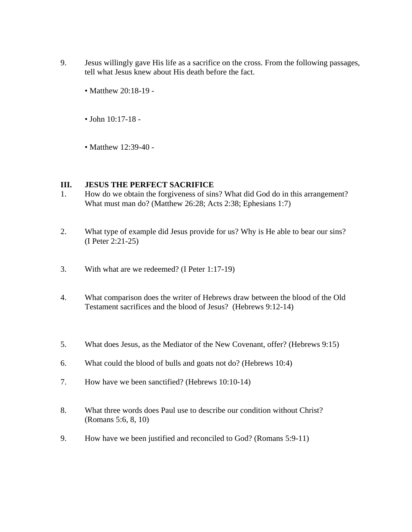- 9. Jesus willingly gave His life as a sacrifice on the cross. From the following passages, tell what Jesus knew about His death before the fact.
	- Matthew 20:18-19 -
	- John 10:17-18 -
	- Matthew 12:39-40 -

#### **III. JESUS THE PERFECT SACRIFICE**

- 1. How do we obtain the forgiveness of sins? What did God do in this arrangement? What must man do? (Matthew 26:28; Acts 2:38; Ephesians 1:7)
- 2. What type of example did Jesus provide for us? Why is He able to bear our sins? (I Peter 2:21-25)
- 3. With what are we redeemed? (I Peter 1:17-19)
- 4. What comparison does the writer of Hebrews draw between the blood of the Old Testament sacrifices and the blood of Jesus? (Hebrews 9:12-14)
- 5. What does Jesus, as the Mediator of the New Covenant, offer? (Hebrews 9:15)
- 6. What could the blood of bulls and goats not do? (Hebrews 10:4)
- 7. How have we been sanctified? (Hebrews 10:10-14)
- 8. What three words does Paul use to describe our condition without Christ? (Romans 5:6, 8, 10)
- 9. How have we been justified and reconciled to God? (Romans 5:9-11)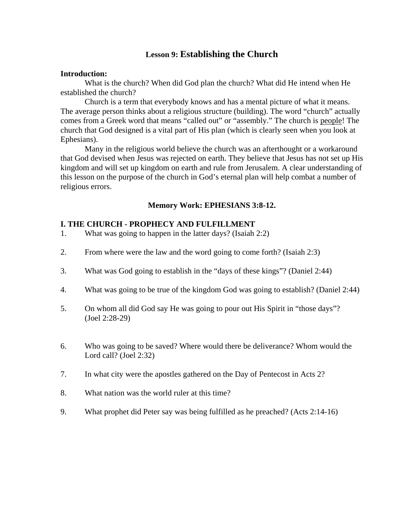# **Lesson 9: Establishing the Church**

#### **Introduction:**

 What is the church? When did God plan the church? What did He intend when He established the church?

 Church is a term that everybody knows and has a mental picture of what it means. The average person thinks about a religious structure (building). The word "church" actually comes from a Greek word that means "called out" or "assembly." The church is people! The church that God designed is a vital part of His plan (which is clearly seen when you look at Ephesians).

 Many in the religious world believe the church was an afterthought or a workaround that God devised when Jesus was rejected on earth. They believe that Jesus has not set up His kingdom and will set up kingdom on earth and rule from Jerusalem. A clear understanding of this lesson on the purpose of the church in God's eternal plan will help combat a number of religious errors.

## **Memory Work: EPHESIANS 3:8-12.**

#### **I. THE CHURCH - PROPHECY AND FULFILLMENT**

- 1. What was going to happen in the latter days? (Isaiah 2:2)
- 2. From where were the law and the word going to come forth? (Isaiah 2:3)
- 3. What was God going to establish in the "days of these kings"? (Daniel 2:44)
- 4. What was going to be true of the kingdom God was going to establish? (Daniel 2:44)
- 5. On whom all did God say He was going to pour out His Spirit in "those days"? (Joel 2:28-29)
- 6. Who was going to be saved? Where would there be deliverance? Whom would the Lord call? (Joel 2:32)
- 7. In what city were the apostles gathered on the Day of Pentecost in Acts 2?
- 8. What nation was the world ruler at this time?
- 9. What prophet did Peter say was being fulfilled as he preached? (Acts 2:14-16)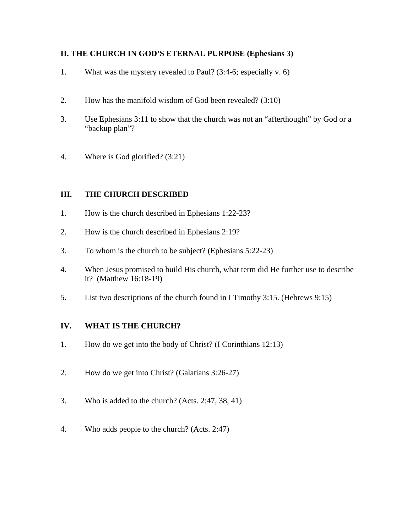# **II. THE CHURCH IN GOD'S ETERNAL PURPOSE (Ephesians 3)**

- 1. What was the mystery revealed to Paul? (3:4-6; especially v. 6)
- 2. How has the manifold wisdom of God been revealed? (3:10)
- 3. Use Ephesians 3:11 to show that the church was not an "afterthought" by God or a "backup plan"?
- 4. Where is God glorified? (3:21)

# **III. THE CHURCH DESCRIBED**

- 1. How is the church described in Ephesians 1:22-23?
- 2. How is the church described in Ephesians 2:19?
- 3. To whom is the church to be subject? (Ephesians 5:22-23)
- 4. When Jesus promised to build His church, what term did He further use to describe it? (Matthew 16:18-19)
- 5. List two descriptions of the church found in I Timothy 3:15. (Hebrews 9:15)

# **IV. WHAT IS THE CHURCH?**

- 1. How do we get into the body of Christ? (I Corinthians 12:13)
- 2. How do we get into Christ? (Galatians 3:26-27)
- 3. Who is added to the church? (Acts. 2:47, 38, 41)
- 4. Who adds people to the church? (Acts. 2:47)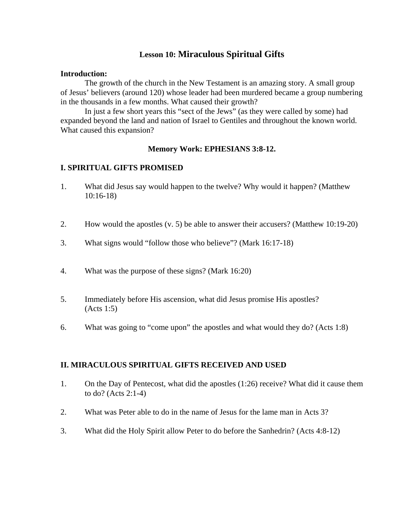# **Lesson 10: Miraculous Spiritual Gifts**

#### **Introduction:**

 The growth of the church in the New Testament is an amazing story. A small group of Jesus' believers (around 120) whose leader had been murdered became a group numbering in the thousands in a few months. What caused their growth?

 In just a few short years this "sect of the Jews" (as they were called by some) had expanded beyond the land and nation of Israel to Gentiles and throughout the known world. What caused this expansion?

#### **Memory Work: EPHESIANS 3:8-12.**

## **I. SPIRITUAL GIFTS PROMISED**

- 1. What did Jesus say would happen to the twelve? Why would it happen? (Matthew 10:16-18)
- 2. How would the apostles (v. 5) be able to answer their accusers? (Matthew 10:19-20)
- 3. What signs would "follow those who believe"? (Mark 16:17-18)
- 4. What was the purpose of these signs? (Mark 16:20)
- 5. Immediately before His ascension, what did Jesus promise His apostles? (Acts 1:5)
- 6. What was going to "come upon" the apostles and what would they do? (Acts 1:8)

#### **II. MIRACULOUS SPIRITUAL GIFTS RECEIVED AND USED**

- 1. On the Day of Pentecost, what did the apostles (1:26) receive? What did it cause them to do? (Acts 2:1-4)
- 2. What was Peter able to do in the name of Jesus for the lame man in Acts 3?
- 3. What did the Holy Spirit allow Peter to do before the Sanhedrin? (Acts 4:8-12)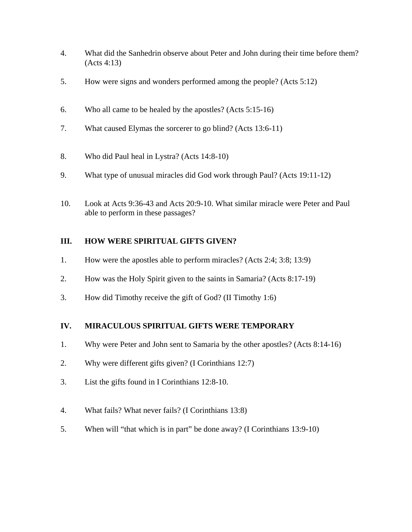- 4. What did the Sanhedrin observe about Peter and John during their time before them? (Acts 4:13)
- 5. How were signs and wonders performed among the people? (Acts 5:12)
- 6. Who all came to be healed by the apostles? (Acts 5:15-16)
- 7. What caused Elymas the sorcerer to go blind? (Acts 13:6-11)
- 8. Who did Paul heal in Lystra? (Acts 14:8-10)
- 9. What type of unusual miracles did God work through Paul? (Acts 19:11-12)
- 10. Look at Acts 9:36-43 and Acts 20:9-10. What similar miracle were Peter and Paul able to perform in these passages?

# **III. HOW WERE SPIRITUAL GIFTS GIVEN?**

- 1. How were the apostles able to perform miracles? (Acts 2:4; 3:8; 13:9)
- 2. How was the Holy Spirit given to the saints in Samaria? (Acts 8:17-19)
- 3. How did Timothy receive the gift of God? (II Timothy 1:6)

# **IV. MIRACULOUS SPIRITUAL GIFTS WERE TEMPORARY**

- 1. Why were Peter and John sent to Samaria by the other apostles? (Acts 8:14-16)
- 2. Why were different gifts given? (I Corinthians 12:7)
- 3. List the gifts found in I Corinthians 12:8-10.
- 4. What fails? What never fails? (I Corinthians 13:8)
- 5. When will "that which is in part" be done away? (I Corinthians 13:9-10)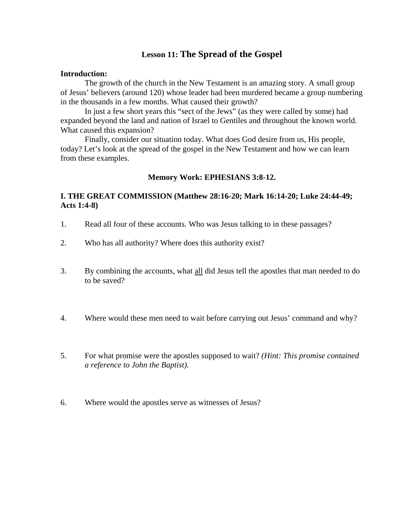# **Lesson 11: The Spread of the Gospel**

#### **Introduction:**

 The growth of the church in the New Testament is an amazing story. A small group of Jesus' believers (around 120) whose leader had been murdered became a group numbering in the thousands in a few months. What caused their growth?

 In just a few short years this "sect of the Jews" (as they were called by some) had expanded beyond the land and nation of Israel to Gentiles and throughout the known world. What caused this expansion?

 Finally, consider our situation today. What does God desire from us, His people, today? Let's look at the spread of the gospel in the New Testament and how we can learn from these examples.

#### **Memory Work: EPHESIANS 3:8-12.**

# **I. THE GREAT COMMISSION (Matthew 28:16-20; Mark 16:14-20; Luke 24:44-49; Acts 1:4-8)**

- 1. Read all four of these accounts. Who was Jesus talking to in these passages?
- 2. Who has all authority? Where does this authority exist?
- 3. By combining the accounts, what all did Jesus tell the apostles that man needed to do to be saved?
- 4. Where would these men need to wait before carrying out Jesus' command and why?
- 5. For what promise were the apostles supposed to wait? *(Hint: This promise contained a reference to John the Baptist).*
- 6. Where would the apostles serve as witnesses of Jesus?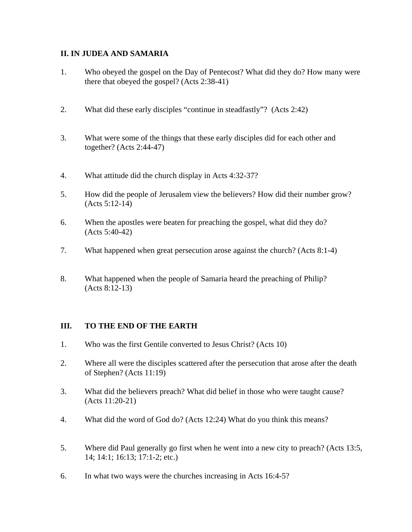# **II. IN JUDEA AND SAMARIA**

- 1. Who obeyed the gospel on the Day of Pentecost? What did they do? How many were there that obeyed the gospel? (Acts 2:38-41)
- 2. What did these early disciples "continue in steadfastly"? (Acts 2:42)
- 3. What were some of the things that these early disciples did for each other and together? (Acts 2:44-47)
- 4. What attitude did the church display in Acts 4:32-37?
- 5. How did the people of Jerusalem view the believers? How did their number grow? (Acts 5:12-14)
- 6. When the apostles were beaten for preaching the gospel, what did they do? (Acts 5:40-42)
- 7. What happened when great persecution arose against the church? (Acts 8:1-4)
- 8. What happened when the people of Samaria heard the preaching of Philip? (Acts 8:12-13)

# **III. TO THE END OF THE EARTH**

- 1. Who was the first Gentile converted to Jesus Christ? (Acts 10)
- 2. Where all were the disciples scattered after the persecution that arose after the death of Stephen? (Acts 11:19)
- 3. What did the believers preach? What did belief in those who were taught cause? (Acts 11:20-21)
- 4. What did the word of God do? (Acts 12:24) What do you think this means?
- 5. Where did Paul generally go first when he went into a new city to preach? (Acts 13:5, 14; 14:1; 16:13; 17:1-2; etc.)
- 6. In what two ways were the churches increasing in Acts 16:4-5?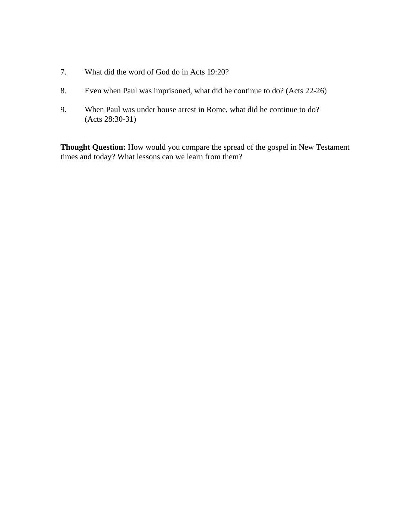- 7. What did the word of God do in Acts 19:20?
- 8. Even when Paul was imprisoned, what did he continue to do? (Acts 22-26)
- 9. When Paul was under house arrest in Rome, what did he continue to do? (Acts 28:30-31)

**Thought Question:** How would you compare the spread of the gospel in New Testament times and today? What lessons can we learn from them?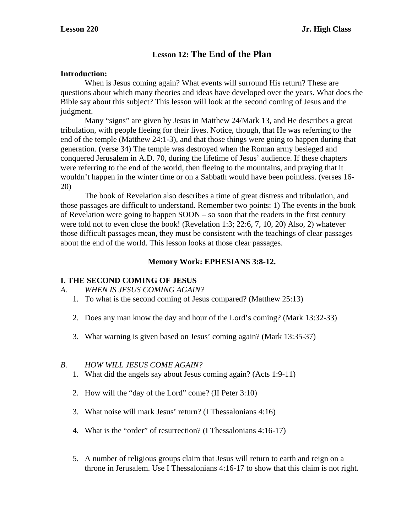# **Lesson 12: The End of the Plan**

## **Introduction:**

 When is Jesus coming again? What events will surround His return? These are questions about which many theories and ideas have developed over the years. What does the Bible say about this subject? This lesson will look at the second coming of Jesus and the judgment.

 Many "signs" are given by Jesus in Matthew 24/Mark 13, and He describes a great tribulation, with people fleeing for their lives. Notice, though, that He was referring to the end of the temple (Matthew 24:1-3), and that those things were going to happen during that generation. (verse 34) The temple was destroyed when the Roman army besieged and conquered Jerusalem in A.D. 70, during the lifetime of Jesus' audience. If these chapters were referring to the end of the world, then fleeing to the mountains, and praying that it wouldn't happen in the winter time or on a Sabbath would have been pointless. (verses 16- 20)

 The book of Revelation also describes a time of great distress and tribulation, and those passages are difficult to understand. Remember two points: 1) The events in the book of Revelation were going to happen SOON – so soon that the readers in the first century were told not to even close the book! (Revelation 1:3; 22:6, 7, 10, 20) Also, 2) whatever those difficult passages mean, they must be consistent with the teachings of clear passages about the end of the world. This lesson looks at those clear passages.

# **Memory Work: EPHESIANS 3:8-12.**

#### **I. THE SECOND COMING OF JESUS**

*A. WHEN IS JESUS COMING AGAIN?* 

- 1. To what is the second coming of Jesus compared? (Matthew 25:13)
- 2. Does any man know the day and hour of the Lord's coming? (Mark 13:32-33)
- 3. What warning is given based on Jesus' coming again? (Mark 13:35-37)

#### *B. HOW WILL JESUS COME AGAIN?*

- 1. What did the angels say about Jesus coming again? (Acts 1:9-11)
- 2. How will the "day of the Lord" come? (II Peter 3:10)
- 3. What noise will mark Jesus' return? (I Thessalonians 4:16)
- 4. What is the "order" of resurrection? (I Thessalonians 4:16-17)
- 5. A number of religious groups claim that Jesus will return to earth and reign on a throne in Jerusalem. Use I Thessalonians 4:16-17 to show that this claim is not right.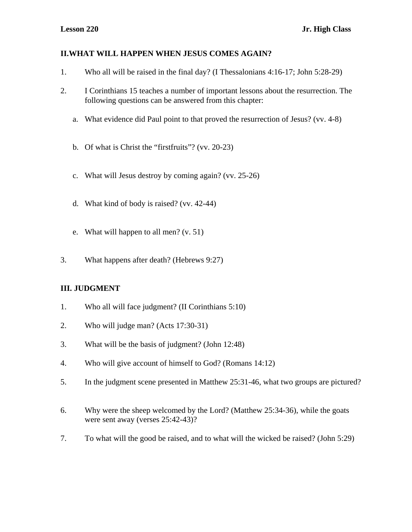# **II.WHAT WILL HAPPEN WHEN JESUS COMES AGAIN?**

- 1. Who all will be raised in the final day? (I Thessalonians 4:16-17; John 5:28-29)
- 2. I Corinthians 15 teaches a number of important lessons about the resurrection. The following questions can be answered from this chapter:
	- a. What evidence did Paul point to that proved the resurrection of Jesus? (vv. 4-8)
	- b. Of what is Christ the "firstfruits"? (vv. 20-23)
	- c. What will Jesus destroy by coming again? (vv. 25-26)
	- d. What kind of body is raised? (vv. 42-44)
	- e. What will happen to all men? (v. 51)
- 3. What happens after death? (Hebrews 9:27)

# **III. JUDGMENT**

- 1. Who all will face judgment? (II Corinthians 5:10)
- 2. Who will judge man? (Acts 17:30-31)
- 3. What will be the basis of judgment? (John 12:48)
- 4. Who will give account of himself to God? (Romans 14:12)
- 5. In the judgment scene presented in Matthew 25:31-46, what two groups are pictured?
- 6. Why were the sheep welcomed by the Lord? (Matthew 25:34-36), while the goats were sent away (verses 25:42-43)?
- 7. To what will the good be raised, and to what will the wicked be raised? (John 5:29)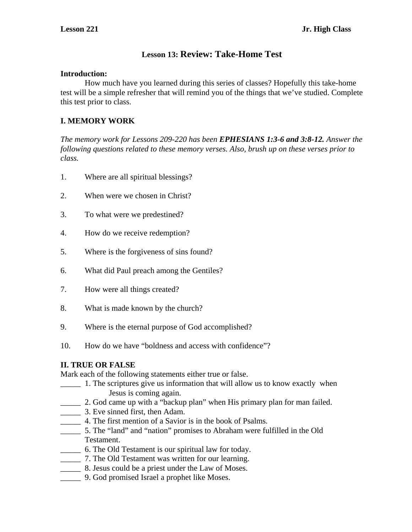# **Lesson 13: Review: Take-Home Test**

## **Introduction:**

 How much have you learned during this series of classes? Hopefully this take-home test will be a simple refresher that will remind you of the things that we've studied. Complete this test prior to class.

# **I. MEMORY WORK**

*The memory work for Lessons 209-220 has been EPHESIANS 1:3-6 and 3:8-12. Answer the following questions related to these memory verses. Also, brush up on these verses prior to class.* 

- 1. Where are all spiritual blessings?
- 2. When were we chosen in Christ?
- 3. To what were we predestined?
- 4. How do we receive redemption?
- 5. Where is the forgiveness of sins found?
- 6. What did Paul preach among the Gentiles?
- 7. How were all things created?
- 8. What is made known by the church?
- 9. Where is the eternal purpose of God accomplished?
- 10. How do we have "boldness and access with confidence"?

# **II. TRUE OR FALSE**

Mark each of the following statements either true or false.

- \_\_\_\_\_ 1. The scriptures give us information that will allow us to know exactly when Jesus is coming again.
- \_\_\_\_\_ 2. God came up with a "backup plan" when His primary plan for man failed.
- \_\_\_\_\_ 3. Eve sinned first, then Adam.
- \_\_\_\_\_ 4. The first mention of a Savior is in the book of Psalms.
- \_\_\_\_\_ 5. The "land" and "nation" promises to Abraham were fulfilled in the Old Testament.
- \_\_\_\_\_ 6. The Old Testament is our spiritual law for today.
- \_\_\_\_\_ 7. The Old Testament was written for our learning.
- \_\_\_\_\_ 8. Jesus could be a priest under the Law of Moses.
- \_\_\_\_\_ 9. God promised Israel a prophet like Moses.